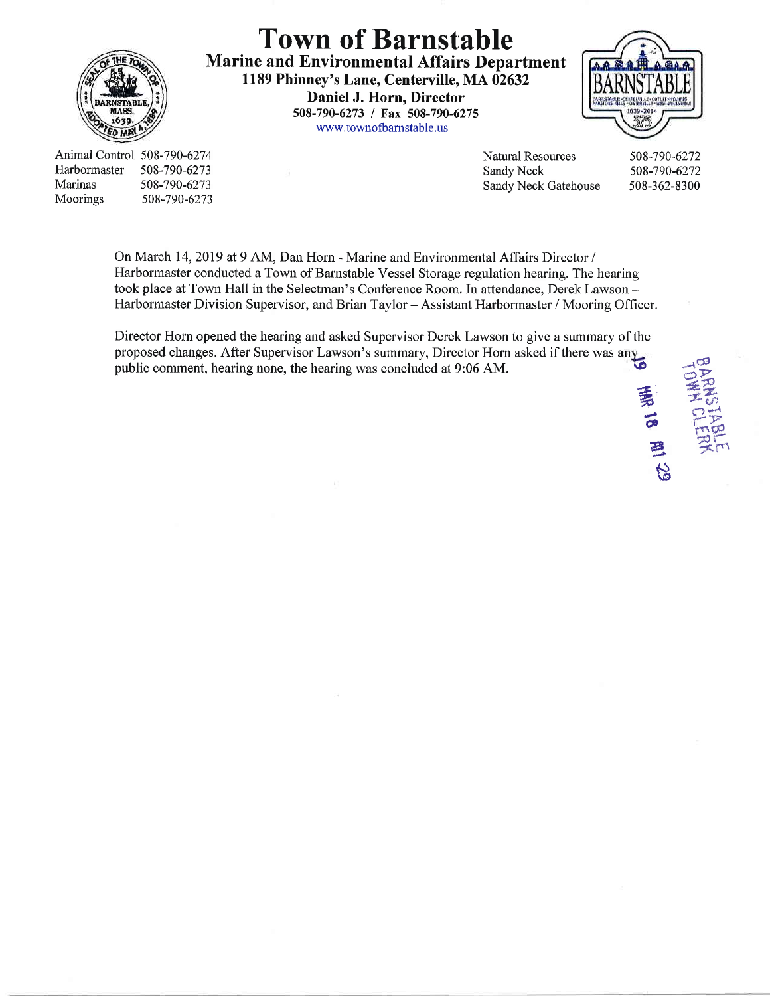

Town of Barnstable Marine and Environmental Affairs Department 1189 Phinney's Lane, Centerville, MA 02632 Daniel J. Horn, Director 508-790-6273 / Fax 508-790-6275 www.townofbamstable. us



Animal Control 508-790-6274 Harbormaster Marinas Moorings s08-790-6273 s08-790-6273 508-790-6273 Natural Resowces Sandy Neck Sandy Neck Gatehouse

508-790-6272 508-790-6272 508-362-8300

On March 14,2019 at 9 AM, Dan Horn - Marine and Environmental Affairs Director / Harbormaster conducted a Town of Barnstable Vessel Storage regulation hearing. The hearing took place at Town Hall in the Selectman's Conference Room. ln attendance, Derek Lawson - Harbormaster Division Supervisor, and Brian Taylor - Assistant Harbormaster / Mooring Officer.

Director Horn opened the hearing and asked Supervisor Derek Lawson to give a summary of the proposed changes. After Supervisor Lawson's summary, Director Horn asked if there was any proposed changes. After Supervisor Lawson's summary, Director Horn asked if there was any public comment, hearing none, the hearing was concluded at 9:06 AM.



a  $\overline{\bullet}$ g

 $\mathcal{B}% _{T}=\mathcal{A}_{T}^{T}\!\left( a,b\right) ,\qquad\qquad\text{and}\qquad\qquad\mathcal{B}_{T}^{T}\!\left( a,b\right) =\mathcal{B}_{T}\!\left( a,b\right) ,$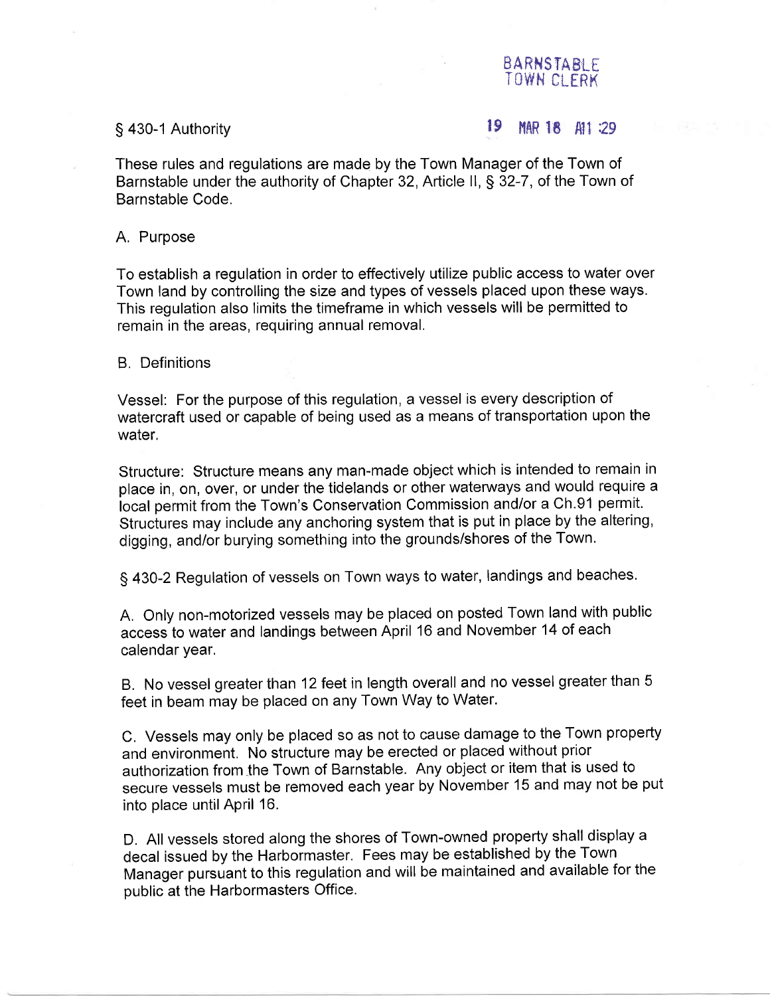# BARNSTABI F TOWN CLERK

## S 430-1 Authority and  $\frac{19}{48}$  MMR 18  $\frac{41}{29}$

These rules and regulations are made by the Town Manager of the Town of Barnstable under the authority of Chapter 32, Article ll, \$ 32-7, of the Town of Barnstable Code.

## A, Purpose

To establish a regulation in order to effectively utilize public access to water over Town land by controlling the size and types of vessels placed upon these ways. This regulation also limits the timeframe in which vessels will be permitted to remain in the areas, requiring annual removal,

## B, Definitions

Vessel: For the purpose of this regulation, a vessel is every description of watercraft used or capable of being used as a means of transportation upon the water,

Structure: Structure means any man-made object which is intended to remain in place in, on, over, or under the tidelands or other waterways and would require a local permit from the Town's Conservation Commission and/or a Ch.91 permit. Structures may include any anchoring system that is put in place by the altering, digging, and/or burying something into the grounds/shores of the Town.

<sup>S</sup>430-2 Regulation of vessels on Town ways to water, landings and beaches.

A. Only non-motorized vessels may be placed on posted Town land with public access to water and landings between April 16 and November 14 of each calendar year.

B. No vessel greater than 12 feet in length overall and no vessel greater than <sup>5</sup> feet in beam may be placed on any Town Way to Water.

C. Vessels may only be placed so as not to cause damage to the Town property and environment. No structure may be erected or placed without prior authorization from the Town of Barnstable. Any object or item that is used to secure vessels must be removed each year by November 15 and may not be put into place until April 16.

D. All vessels stored along the shores of Town-owned property shall display <sup>a</sup> decal issued by the Harbormaster. Fees may be established by the Town Manager pursuant to this regulation and will be maintained and available for the public at the Harbormasters Office.